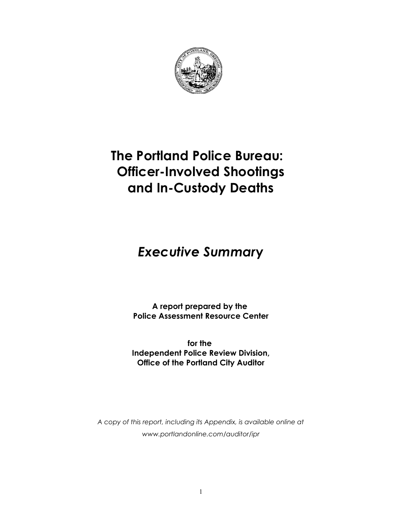

## **The Portland Police Bureau: Officer-Involved Shootings and In-Custody Deaths**

## *Executive Summar***y**

**A report prepared by the Police Assessment Resource Center**

**for the Independent Police Review Division, Office of the Portland City Auditor**

*A copy of this report, including its Appendix, is available online at www.portlandonline.com/auditor/ipr*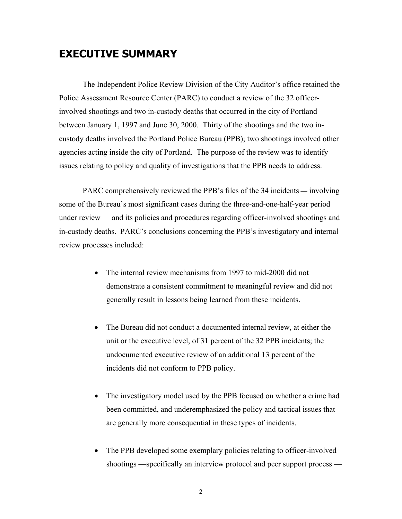## **EXECUTIVE SUMMARY**

The Independent Police Review Division of the City Auditor's office retained the Police Assessment Resource Center (PARC) to conduct a review of the 32 officerinvolved shootings and two in-custody deaths that occurred in the city of Portland between January 1, 1997 and June 30, 2000. Thirty of the shootings and the two incustody deaths involved the Portland Police Bureau (PPB); two shootings involved other agencies acting inside the city of Portland. The purpose of the review was to identify issues relating to policy and quality of investigations that the PPB needs to address.

PARC comprehensively reviewed the PPB's files of the 34 incidents — involving some of the Bureau's most significant cases during the three-and-one-half-year period under review — and its policies and procedures regarding officer-involved shootings and in-custody deaths. PARC's conclusions concerning the PPB's investigatory and internal review processes included:

- The internal review mechanisms from 1997 to mid-2000 did not demonstrate a consistent commitment to meaningful review and did not generally result in lessons being learned from these incidents.
- The Bureau did not conduct a documented internal review, at either the unit or the executive level, of 31 percent of the 32 PPB incidents; the undocumented executive review of an additional 13 percent of the incidents did not conform to PPB policy.
- The investigatory model used by the PPB focused on whether a crime had been committed, and underemphasized the policy and tactical issues that are generally more consequential in these types of incidents.
- The PPB developed some exemplary policies relating to officer-involved shootings —specifically an interview protocol and peer support process —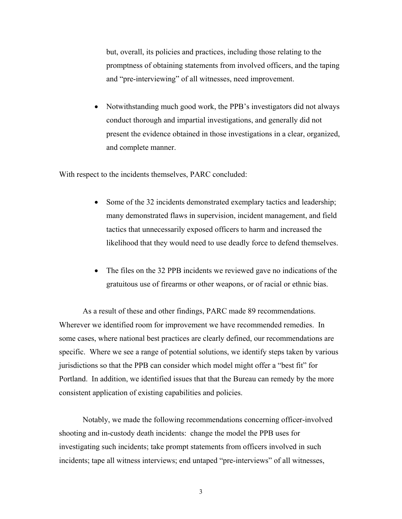but, overall, its policies and practices, including those relating to the promptness of obtaining statements from involved officers, and the taping and "pre-interviewing" of all witnesses, need improvement.

• Notwithstanding much good work, the PPB's investigators did not always conduct thorough and impartial investigations, and generally did not present the evidence obtained in those investigations in a clear, organized, and complete manner.

With respect to the incidents themselves, PARC concluded:

- Some of the 32 incidents demonstrated exemplary tactics and leadership; many demonstrated flaws in supervision, incident management, and field tactics that unnecessarily exposed officers to harm and increased the likelihood that they would need to use deadly force to defend themselves.
- The files on the 32 PPB incidents we reviewed gave no indications of the gratuitous use of firearms or other weapons, or of racial or ethnic bias.

As a result of these and other findings, PARC made 89 recommendations. Wherever we identified room for improvement we have recommended remedies. In some cases, where national best practices are clearly defined, our recommendations are specific. Where we see a range of potential solutions, we identify steps taken by various jurisdictions so that the PPB can consider which model might offer a "best fit" for Portland. In addition, we identified issues that that the Bureau can remedy by the more consistent application of existing capabilities and policies.

Notably, we made the following recommendations concerning officer-involved shooting and in-custody death incidents: change the model the PPB uses for investigating such incidents; take prompt statements from officers involved in such incidents; tape all witness interviews; end untaped "pre-interviews" of all witnesses,

3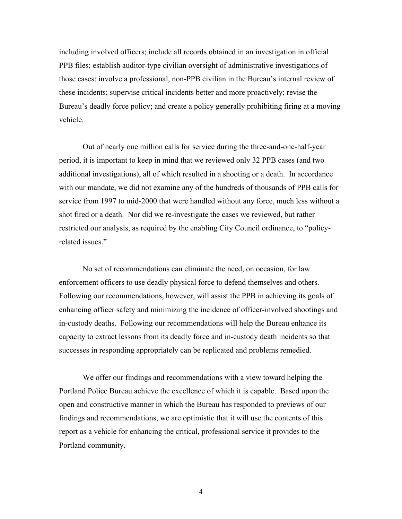including involved officers; include all records obtained in an investigation in official PPB files; establish auditor-type civilian oversight of administrative investigations of those cases; involve a professional, non-PPB civilian in the Bureau's internal review of these incidents; supervise critical incidents better and more proactively; revise the Bureau's deadly force policy; and create a policy generally prohibiting firing at a moving vehicle.

Out of nearly one million calls for service during the three-and-one-half-year period, it is important to keep in mind that we reviewed only 32 PPB cases (and two additional investigations), all of which resulted in a shooting or a death. In accordance with our mandate, we did not examine any of the hundreds of thousands of PPB calls for service from 1997 to mid-2000 that were handled without any force, much less without a shot fired or a death. Nor did we re-investigate the cases we reviewed, but rather restricted our analysis, as required by the enabling City Council ordinance, to "policyrelated issues."

No set of recommendations can eliminate the need, on occasion, for law enforcement officers to use deadly physical force to defend themselves and others. Following our recommendations, however, will assist the PPB in achieving its goals of enhancing officer safety and minimizing the incidence of officer-involved shootings and in-custody deaths. Following our recommendations will help the Bureau enhance its capacity to extract lessons from its deadly force and in-custody death incidents so that successes in responding appropriately can be replicated and problems remedied.

We offer our findings and recommendations with a view toward helping the Portland Police Bureau achieve the excellence of which it is capable. Based upon the open and constructive manner in which the Bureau has responded to previews of our findings and recommendations, we are optimistic that it will use the contents of this report as a vehicle for enhancing the critical, professional service it provides to the Portland community.

4